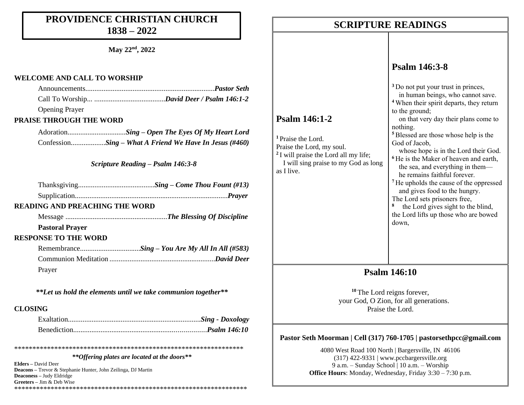### **PROVIDENCE CHRISTIAN CHURCH 1838 – 2022**

**May 22nd, 2022**

#### **WELCOME AND CALL TO WORSHIP**

| <b>Opening Prayer</b> |  |
|-----------------------|--|

#### **PRAISE THROUGH THE WORD**

Adoration..........*......................Sing – Open The Eyes Of My Heart Lord* Confession...................*Sing – What A Friend We Have In Jesus (#460)*

#### *Scripture Reading – Psalm 146:3-8*

| <b>READING AND PREACHING THE WORD</b> |  |
|---------------------------------------|--|
|                                       |  |
| <b>Pastoral Prayer</b>                |  |
| <b>RESPONSE TO THE WORD</b>           |  |
|                                       |  |
|                                       |  |
| Prayer                                |  |

*\*\*Let us hold the elements until we take communion together\*\**

#### **CLOSING**

\*\*\*\*\*\*\*\*\*\*\*\*\*\*\*\*\*\*\*\*\*\*\*\*\*\*\*\*\*\*\*\*\*\*\*\*\*\*\*\*\*\*\*\*\*\*\*\*\*\*\*\*\*\*\*\*\*\*\*\*\*\*\*

#### *\*\*Offering plates are located at the doors\*\**

**Elders –** David Deer **Deacons –** Trevor & Stephanie Hunter, John Zeilinga, DJ Martin **Deaconess –** Judy Eldridge **Greeters –** Jim & Deb Wise \*\*\*\*\*\*\*\*\*\*\*\*\*\*\*\*\*\*\*\*\*\*\*\*\*\*\*\*\*\*\*\*\*\*\*\*\*\*\*\*\*\*\*\*\*\*\*\*\*\*\*\*\*\*\*\*\*\*\*\*\*\*\*\*

### **SCRIPTURE READINGS SCRIPTURE READINGS**

### **Psalm 146:3-8**

| Psalm 146:1-2<br><sup>1</sup> Praise the Lord.<br>Praise the Lord, my soul.<br><sup>2</sup> I will praise the Lord all my life;<br>I will sing praise to my God as long<br>as I live. | <sup>3</sup> Do not put your trust in princes,<br>in human beings, who cannot save.<br><sup>4</sup> When their spirit departs, they return<br>to the ground;<br>on that very day their plans come to<br>nothing.<br><sup>5</sup> Blessed are those whose help is the<br>God of Jacob,<br>whose hope is in the Lord their God.<br><sup>6</sup> He is the Maker of heaven and earth,<br>the sea, and everything in them—<br>he remains faithful forever.<br><sup>7</sup> He upholds the cause of the oppressed<br>and gives food to the hungry.<br>The Lord sets prisoners free,<br>the Lord gives sight to the blind,<br>the Lord lifts up those who are bowed<br>down, |
|---------------------------------------------------------------------------------------------------------------------------------------------------------------------------------------|------------------------------------------------------------------------------------------------------------------------------------------------------------------------------------------------------------------------------------------------------------------------------------------------------------------------------------------------------------------------------------------------------------------------------------------------------------------------------------------------------------------------------------------------------------------------------------------------------------------------------------------------------------------------|
|---------------------------------------------------------------------------------------------------------------------------------------------------------------------------------------|------------------------------------------------------------------------------------------------------------------------------------------------------------------------------------------------------------------------------------------------------------------------------------------------------------------------------------------------------------------------------------------------------------------------------------------------------------------------------------------------------------------------------------------------------------------------------------------------------------------------------------------------------------------------|

### **Psalm 146:10**

**<sup>10</sup>** The Lord reigns forever, your God, O Zion, for all generations. Praise the Lord.

#### **Pastor Seth Moorman | Cell (317) 760-1705 | pastorsethpcc@gmail.com**

4080 West Road 100 North | Bargersville, IN 46106 (317) 422-9331 | www.pccbargersville.org 9 a.m. – Sunday School | 10 a.m. – Worship **Office Hours**: Monday, Wednesday, Friday 3:30 – 7:30 p.m.